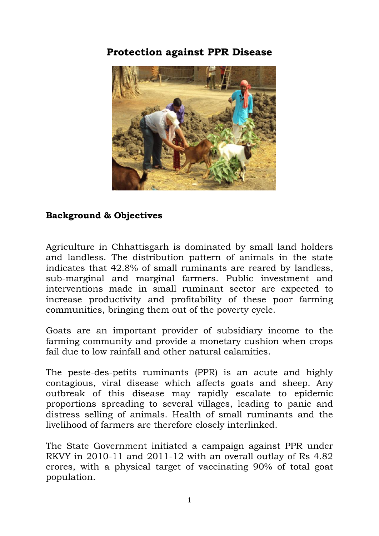## **Protection against PPR Disease**



## **Background & Objectives**

Agriculture in Chhattisgarh is dominated by small land holders and landless. The distribution pattern of animals in the state indicates that 42.8% of small ruminants are reared by landless, sub-marginal and marginal farmers. Public investment and interventions made in small ruminant sector are expected to increase productivity and profitability of these poor farming communities, bringing them out of the poverty cycle.

Goats are an important provider of subsidiary income to the farming community and provide a monetary cushion when crops fail due to low rainfall and other natural calamities.

The peste-des-petits ruminants (PPR) is an acute and highly contagious, viral disease which affects goats and sheep. Any outbreak of this disease may rapidly escalate to epidemic proportions spreading to several villages, leading to panic and distress selling of animals. Health of small ruminants and the livelihood of farmers are therefore closely interlinked.

The State Government initiated a campaign against PPR under RKVY in 2010-11 and 2011-12 with an overall outlay of Rs 4.82 crores, with a physical target of vaccinating 90% of total goat population.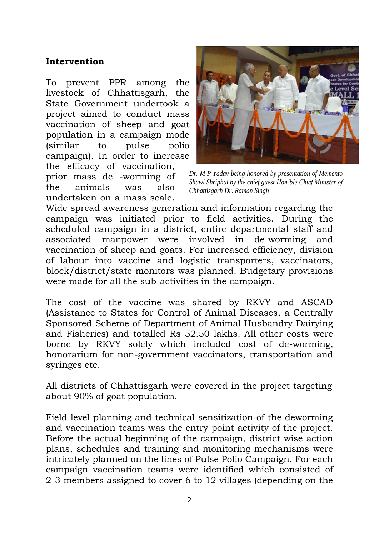## **Intervention**

To prevent PPR among the livestock of Chhattisgarh, the State Government undertook a project aimed to conduct mass vaccination of sheep and goat population in a campaign mode (similar to pulse polio campaign). In order to increase the efficacy of vaccination, prior mass de -worming of the animals was also

undertaken on a mass scale.



*Dr. M P Yadav being honored by presentation of Memento Shawl Shriphal by the chief guest Hon'ble Chief Minister of Chhattisgarh Dr. Raman Singh*

Wide spread awareness generation and information regarding the campaign was initiated prior to field activities. During the scheduled campaign in a district, entire departmental staff and associated manpower were involved in de-worming and vaccination of sheep and goats. For increased efficiency, division of labour into vaccine and logistic transporters, vaccinators, block/district/state monitors was planned. Budgetary provisions were made for all the sub-activities in the campaign.

The cost of the vaccine was shared by RKVY and ASCAD (Assistance to States for Control of Animal Diseases, a Centrally Sponsored Scheme of Department of Animal Husbandry Dairying and Fisheries) and totalled Rs 52.50 lakhs. All other costs were borne by RKVY solely which included cost of de-worming, honorarium for non-government vaccinators, transportation and syringes etc.

All districts of Chhattisgarh were covered in the project targeting about 90% of goat population.

Field level planning and technical sensitization of the deworming and vaccination teams was the entry point activity of the project. Before the actual beginning of the campaign, district wise action plans, schedules and training and monitoring mechanisms were intricately planned on the lines of Pulse Polio Campaign. For each campaign vaccination teams were identified which consisted of 2-3 members assigned to cover 6 to 12 villages (depending on the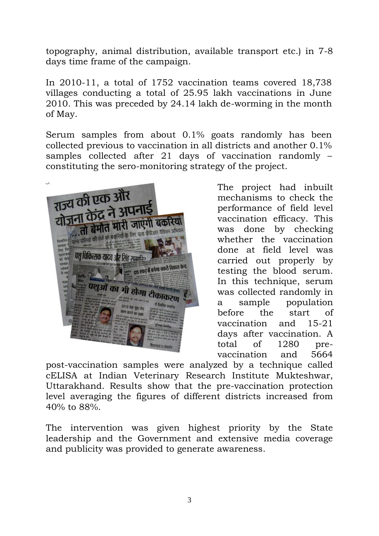topography, animal distribution, available transport etc.) in 7-8 days time frame of the campaign.

In 2010-11, a total of 1752 vaccination teams covered 18,738 villages conducting a total of 25.95 lakh vaccinations in June 2010. This was preceded by 24.14 lakh de-worming in the month of May.

Serum samples from about 0.1% goats randomly has been collected previous to vaccination in all districts and another 0.1% samples collected after 21 days of vaccination randomly constituting the sero-monitoring strategy of the project.



The project had inbuilt mechanisms to check the performance of field level vaccination efficacy. This was done by checking whether the vaccination done at field level was carried out properly by testing the blood serum. In this technique, serum was collected randomly in a sample population before the start of vaccination and 15-21 days after vaccination. A total of 1280 prevaccination and 5664

post-vaccination samples were analyzed by a technique called cELISA at Indian Veterinary Research Institute Mukteshwar, Uttarakhand. Results show that the pre-vaccination protection level averaging the figures of different districts increased from 40% to 88%.

The intervention was given highest priority by the State leadership and the Government and extensive media coverage and publicity was provided to generate awareness.